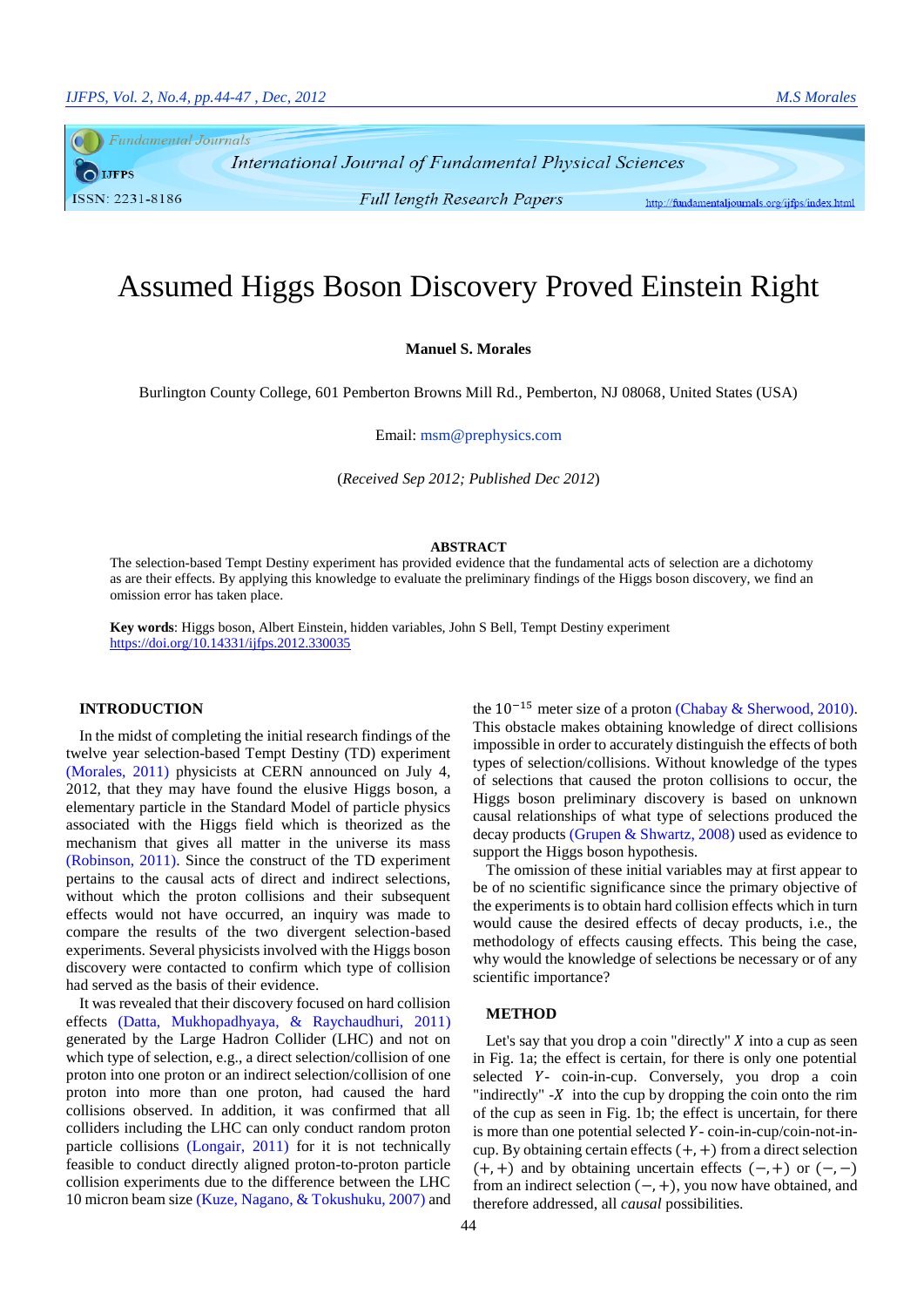Fundamental Journals **IJFPS** ISSN: 2231-8186

**Full length Research Papers** 

International Journal of Fundamental Physical Sciences

http://fundamentaljournals.org/ijfps/index.html

# Assumed Higgs Boson Discovery Proved Einstein Right

**Manuel S. Morales**

Burlington County College, 601 Pemberton Browns Mill Rd., Pemberton, NJ 08068, United States (USA)

Email: msm@prephysics.com

(*Received Sep 2012; Published Dec 2012*)

## **ABSTRACT**

The selection-based Tempt Destiny experiment has provided evidence that the fundamental acts of selection are a dichotomy as are their effects. By applying this knowledge to evaluate the preliminary findings of the Higgs boson discovery, we find an omission error has taken place.

**Key words**: Higgs boson, Albert Einstein, hidden variables, John S Bell, Tempt Destiny experiment <https://doi.org/10.14331/ijfps.2012.330035>

### **INTRODUCTION**

In the midst of completing the initial research findings of the twelve year selection-based Tempt Destiny (TD) experiment [\(Morales, 2011\)](#page-3-0) physicists at CERN announced on July 4, 2012, that they may have found the elusive Higgs boson, a elementary particle in the Standard Model of particle physics associated with the Higgs field which is theorized as the mechanism that gives all matter in the universe its mass [\(Robinson, 2011\)](#page-3-1). Since the construct of the TD experiment pertains to the causal acts of direct and indirect selections, without which the proton collisions and their subsequent effects would not have occurred, an inquiry was made to compare the results of the two divergent selection-based experiments. Several physicists involved with the Higgs boson discovery were contacted to confirm which type of collision had served as the basis of their evidence.

It was revealed that their discovery focused on hard collision effects [\(Datta, Mukhopadhyaya, & Raychaudhuri, 2011\)](#page-2-0) generated by the Large Hadron Collider (LHC) and not on which type of selection, e.g., a direct selection/collision of one proton into one proton or an indirect selection/collision of one proton into more than one proton, had caused the hard collisions observed. In addition, it was confirmed that all colliders including the LHC can only conduct random proton particle collisions [\(Longair, 2011\)](#page-3-2) for it is not technically feasible to conduct directly aligned proton-to-proton particle collision experiments due to the difference between the LHC 10 micron beam size [\(Kuze, Nagano, & Tokushuku, 2007\)](#page-3-3) and the 10−15 meter size of a proton [\(Chabay & Sherwood, 2010\)](#page-2-1). This obstacle makes obtaining knowledge of direct collisions impossible in order to accurately distinguish the effects of both types of selection/collisions. Without knowledge of the types of selections that caused the proton collisions to occur, the Higgs boson preliminary discovery is based on unknown causal relationships of what type of selections produced the decay products [\(Grupen & Shwartz, 2008\)](#page-2-2) used as evidence to support the Higgs boson hypothesis.

The omission of these initial variables may at first appear to be of no scientific significance since the primary objective of the experiments is to obtain hard collision effects which in turn would cause the desired effects of decay products, i.e., the methodology of effects causing effects. This being the case, why would the knowledge of selections be necessary or of any scientific importance?

### **METHOD**

Let's say that you drop a coin "directly"  $X$  into a cup as seen in Fig. 1a; the effect is certain, for there is only one potential selected Y- coin-in-cup. Conversely, you drop a coin "indirectly"  $-X$  into the cup by dropping the coin onto the rim of the cup as seen in Fig. 1b; the effect is uncertain, for there is more than one potential selected *Y* - coin-in-cup/coin-not-incup. By obtaining certain effects  $(+, +)$  from a direct selection  $(+,+)$  and by obtaining uncertain effects  $(-,+)$  or  $(-,-)$ from an indirect selection  $(-, +)$ , you now have obtained, and therefore addressed, all *causal* possibilities.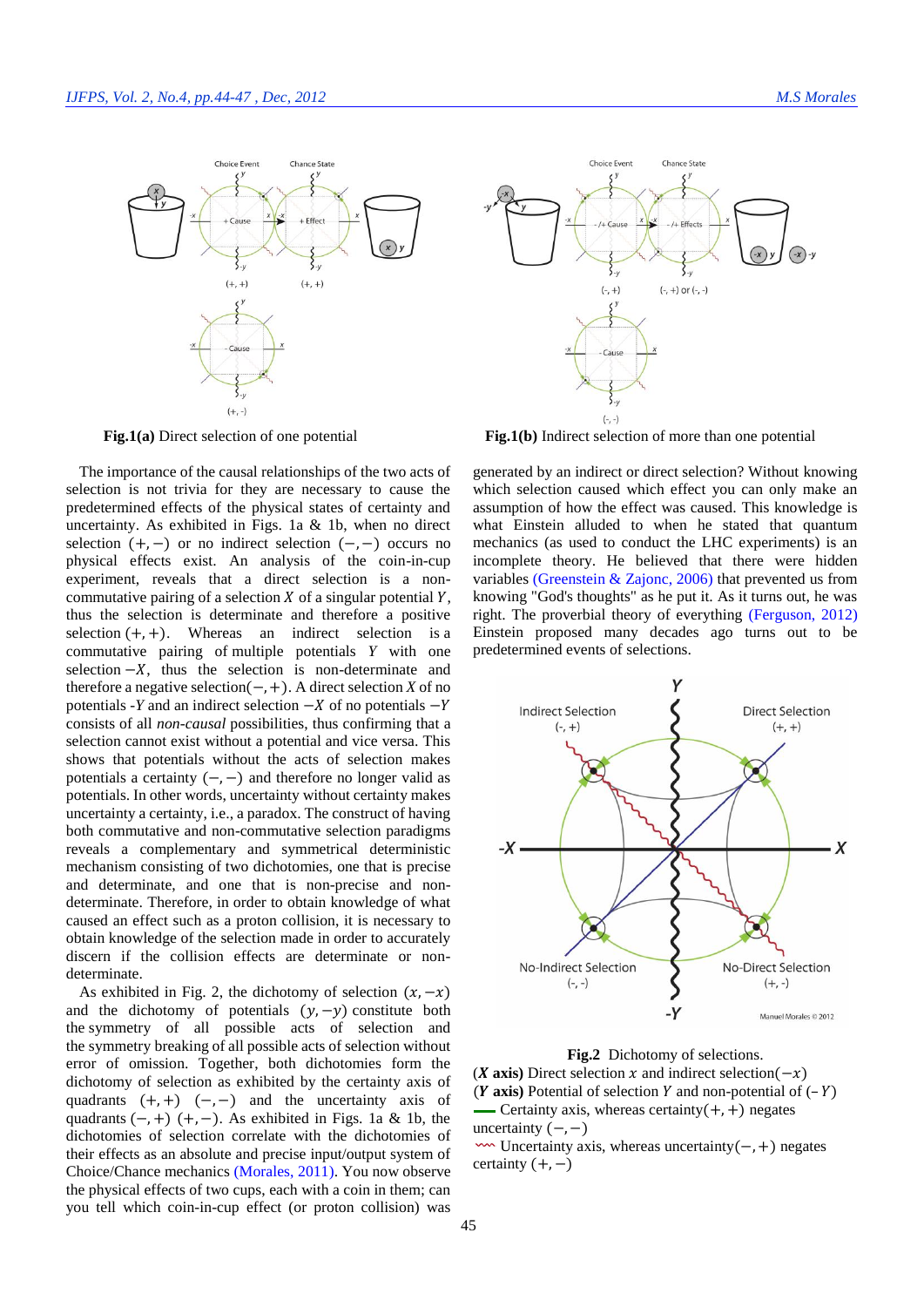

The importance of the causal relationships of the two acts of selection is not trivia for they are necessary to cause the predetermined effects of the physical states of certainty and uncertainty. As exhibited in Figs. 1a & 1b, when no direct selection  $(+,-)$  or no indirect selection  $(-,-)$  occurs no physical effects exist. An analysis of the coin-in-cup experiment, reveals that a direct selection is a noncommutative pairing of a selection  $X$  of a singular potential  $Y$ , thus the selection is determinate and therefore a positive selection  $(+, +)$ . Whereas an indirect selection is a commutative pairing of multiple potentials *Y* with one selection  $-X$ , thus the selection is non-determinate and therefore a negative selection(−,+). A direct selection *X* of no potentials  $-Y$  and an indirect selection  $-X$  of no potentials  $-Y$ consists of all *non-causal* possibilities, thus confirming that a selection cannot exist without a potential and vice versa. This shows that potentials without the acts of selection makes potentials a certainty  $(-, -)$  and therefore no longer valid as potentials. In other words, uncertainty without certainty makes uncertainty a certainty, i.e., a paradox. The construct of having both commutative and non-commutative selection paradigms reveals a complementary and symmetrical deterministic mechanism consisting of two dichotomies, one that is precise and determinate, and one that is non-precise and nondeterminate. Therefore, in order to obtain knowledge of what caused an effect such as a proton collision, it is necessary to obtain knowledge of the selection made in order to accurately discern if the collision effects are determinate or nondeterminate.

As exhibited in Fig. 2, the dichotomy of selection  $(x, -x)$ and the dichotomy of potentials  $(y, -y)$  constitute both the symmetry of all possible acts of selection and the symmetry breaking of all possible acts of selection without error of omission. Together, both dichotomies form the dichotomy of selection as exhibited by the certainty axis of quadrants  $(+,+)$   $(-,-)$  and the uncertainty axis of quadrants  $(-,+)$   $(+,-)$ . As exhibited in Figs. 1a & 1b, the dichotomies of selection correlate with the dichotomies of their effects as an absolute and precise input/output system of Choice/Chance mechanics [\(Morales,](#page-3-0) 2011). You now observe the physical effects of two cups, each with a coin in them; can you tell which coin-in-cup effect (or proton collision) was



**Fig.1(a)** Direct selection of one potential **Fig.1(b)** Indirect selection of more than one potential

generated by an indirect or direct selection? Without knowing which selection caused which effect you can only make an assumption of how the effect was caused. This knowledge is what Einstein alluded to when he stated that quantum mechanics (as used to conduct the LHC experiments) is an incomplete theory. He believed that there were hidden variables [\(Greenstein & Zajonc, 2006\)](#page-2-3) that prevented us from knowing "God's thoughts" as he put it. As it turns out, he was right. The proverbial theory of everything [\(Ferguson, 2012\)](#page-2-4) Einstein proposed many decades ago turns out to be predetermined events of selections.



**Fig.2** Dichotomy of selections.

(*X* axis) Direct selection  $x$  and indirect selection( $-x$ ) ( $Y$  axis) Potential of selection  $Y$  and non-potential of  $(-Y)$ Certainty axis, whereas certainty $(+,+)$  negates uncertainty  $(-,-)$ 

 Uncertainty axis, whereas uncertainty(−,+) negates certainty  $(+,-)$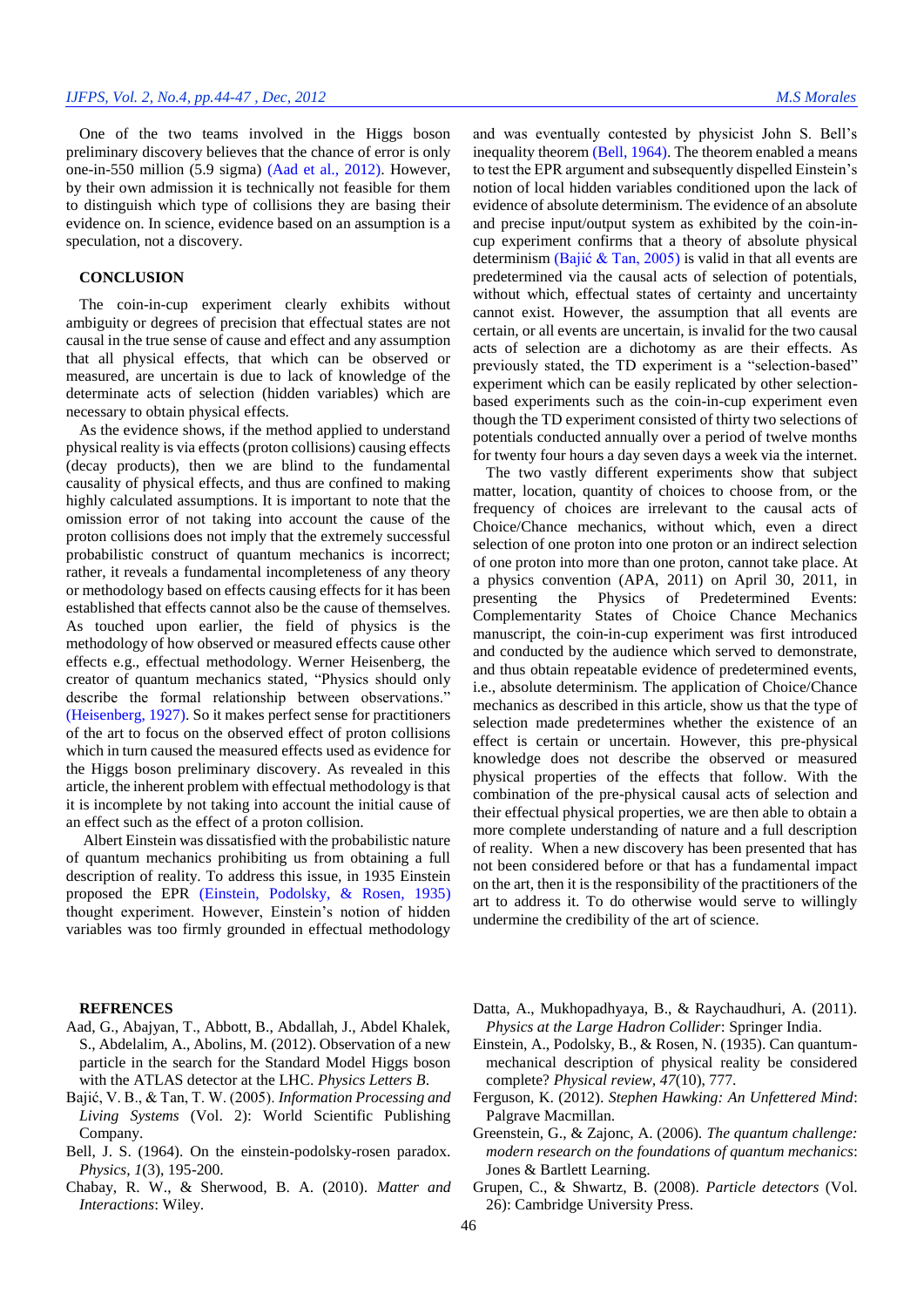One of the two teams involved in the Higgs boson preliminary discovery believes that the chance of error is only one-in-550 million (5.9 sigma) [\(Aad et al., 2012\)](#page-2-5). However, by their own admission it is technically not feasible for them to distinguish which type of collisions they are basing their evidence on. In science, evidence based on an assumption is a speculation, not a discovery.

## **CONCLUSION**

The coin-in-cup experiment clearly exhibits without ambiguity or degrees of precision that effectual states are not causal in the true sense of cause and effect and any assumption that all physical effects, that which can be observed or measured, are uncertain is due to lack of knowledge of the determinate acts of selection (hidden variables) which are necessary to obtain physical effects.

As the evidence shows, if the method applied to understand physical reality is via effects (proton collisions) causing effects (decay products), then we are blind to the fundamental causality of physical effects, and thus are confined to making highly calculated assumptions. It is important to note that the omission error of not taking into account the cause of the proton collisions does not imply that the extremely successful probabilistic construct of quantum mechanics is incorrect; rather, it reveals a fundamental incompleteness of any theory or methodology based on effects causing effects for it has been established that effects cannot also be the cause of themselves. As touched upon earlier, the field of physics is the methodology of how observed or measured effects cause other effects e.g., effectual methodology. Werner Heisenberg, the creator of quantum mechanics stated*,* "Physics should only describe the formal relationship between observations." [\(Heisenberg, 1927\)](#page-3-4). So it makes perfect sense for practitioners of the art to focus on the observed effect of proton collisions which in turn caused the measured effects used as evidence for the Higgs boson preliminary discovery. As revealed in this article, the inherent problem with effectual methodology is that it is incomplete by not taking into account the initial cause of an effect such as the effect of a proton collision.

Albert Einstein was dissatisfied with the probabilistic nature of quantum mechanics prohibiting us from obtaining a full description of reality. To address this issue, in 1935 Einstein proposed the EPR [\(Einstein, Podolsky, & Rosen, 1935\)](#page-2-6) thought experiment. However, Einstein's notion of hidden variables was too firmly grounded in effectual methodology

and was eventually contested by physicist John S. Bell's inequality theorem [\(Bell, 1964\)](#page-2-7). The theorem enabled a means to test the EPR argument and subsequently dispelled Einstein's notion of local hidden variables conditioned upon the lack of evidence of absolute determinism. The evidence of an absolute and precise input/output system as exhibited by the coin-incup experiment confirms that a theory of absolute physical determinism [\(Bajić & Tan, 2005\)](#page-2-8) is valid in that all events are predetermined via the causal acts of selection of potentials, without which, effectual states of certainty and uncertainty cannot exist. However, the assumption that all events are certain, or all events are uncertain, is invalid for the two causal acts of selection are a dichotomy as are their effects. As previously stated, the TD experiment is a "selection-based" experiment which can be easily replicated by other selectionbased experiments such as the coin-in-cup experiment even though the TD experiment consisted of thirty two selections of potentials conducted annually over a period of twelve months for twenty four hours a day seven days a week via the internet.

The two vastly different experiments show that subject matter, location, quantity of choices to choose from, or the frequency of choices are irrelevant to the causal acts of Choice/Chance mechanics, without which, even a direct selection of one proton into one proton or an indirect selection of one proton into more than one proton, cannot take place. At a physics convention (APA, 2011) on April 30, 2011, in presenting the Physics of Predetermined Events: Complementarity States of Choice Chance Mechanics manuscript, the coin-in-cup experiment was first introduced and conducted by the audience which served to demonstrate, and thus obtain repeatable evidence of predetermined events, i.e., absolute determinism. The application of Choice/Chance mechanics as described in this article, show us that the type of selection made predetermines whether the existence of an effect is certain or uncertain. However, this pre-physical knowledge does not describe the observed or measured physical properties of the effects that follow. With the combination of the pre-physical causal acts of selection and their effectual physical properties, we are then able to obtain a more complete understanding of nature and a full description of reality. When a new discovery has been presented that has not been considered before or that has a fundamental impact on the art, then it is the responsibility of the practitioners of the art to address it. To do otherwise would serve to willingly undermine the credibility of the art of science.

#### **REFRENCES**

- <span id="page-2-5"></span>Aad, G., Abajyan, T., Abbott, B., Abdallah, J., Abdel Khalek, S., Abdelalim, A., Abolins, M. (2012). Observation of a new particle in the search for the Standard Model Higgs boson with the ATLAS detector at the LHC. *Physics Letters B*.
- <span id="page-2-8"></span>Bajić, V. B., & Tan, T. W. (2005). *Information Processing and Living Systems* (Vol. 2): World Scientific Publishing Company.
- <span id="page-2-7"></span>Bell, J. S. (1964). On the einstein-podolsky-rosen paradox. *Physics, 1*(3), 195-200.
- <span id="page-2-1"></span>Chabay, R. W., & Sherwood, B. A. (2010). *Matter and Interactions*: Wiley.

<span id="page-2-0"></span>Datta, A., Mukhopadhyaya, B., & Raychaudhuri, A. (2011). *Physics at the Large Hadron Collider*: Springer India.

- <span id="page-2-6"></span>Einstein, A., Podolsky, B., & Rosen, N. (1935). Can quantummechanical description of physical reality be considered complete? *Physical review, 47*(10), 777.
- <span id="page-2-4"></span>Ferguson, K. (2012). *Stephen Hawking: An Unfettered Mind*: Palgrave Macmillan.
- <span id="page-2-3"></span>Greenstein, G., & Zajonc, A. (2006). *The quantum challenge: modern research on the foundations of quantum mechanics*: Jones & Bartlett Learning.
- <span id="page-2-2"></span>Grupen, C., & Shwartz, B. (2008). *Particle detectors* (Vol. 26): Cambridge University Press.